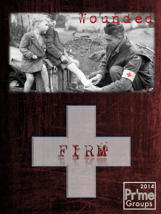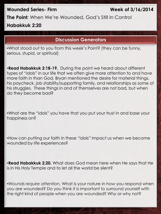### **Wounded Series- Firm Week of 3/16/2014**

**The Point:** When We're Wounded, God's Still In Control **Habakkuk 2:20**

## **Discussion Generators**

•What stood out to you from this week's Point? (they can be funny, serious, stupid, or spiritual)

•**Read Habakkuk 2:18-19.** During the point we heard about different types of "idols" in our life that we often give more attention to and have more faith in than God. Bryan mentioned the desire for material things, his paycheck, job stability/supporting family, and relationships as some of his struggles. These things in and of themselves are not bad, but when do they become bad?

•What are the "idols" you have that you put your trust in and base your happiness on?

•How can putting our faith in these "idols" impact us when we become wounded by life experiences?

•**Read Habakkuk 2:20.** What does God mean here when He says that He is in His Holy Temple and to let all the world be silent?

•*Wounds require attention.* What is your nature in how you respond when you are wounded? Do you think it is important to surround yourself with the right kind of people when you are wounded? Why or why not?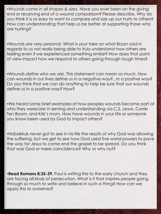•*Wounds come in all shapes & sizes*. Have you ever been on the giving end or receiving end of a wound comparison? Please describe. Why do you think it is so easy to want to compare and size up our hurts to others? How can understanding that help us be better at supporting those who are hurting?

•*Wounds are very personal*. What is your take on what Bryan said in regards to us not really being able to truly understand how others are feeling even if we experienced something similar? How does that point of view impact how we respond to others going through tough times?

•*Wounds define who we are.* This statement can mean so much. How can wounds in our lives define us in a negative way?...in a positive way? Do you think that we can do anything to help be sure that our wounds define us in a positive way? How?

•We heard some brief examples of how peoples wounds became part of who they were/are in serving and understanding via C.S. Lewis, Corrie Ten Boom, and Kirk's mom. How have wounds in your life or someone you know been used by God to impact others?

•Habakkuk never got to see in his life the results of why God was allowing the suffering, but we get to see how God used five world powers to pave the way for Jesus to come and the gospel to be spread. Do you think that was God or mere coincidence? Why or why not?

•**Read Romans 8:35-39.** Paul is writing this to the early church and they are facing all kinds of persecution. What is it that inspires people going through so much to write and believe in such a thing? How can we apply this to ourselves?